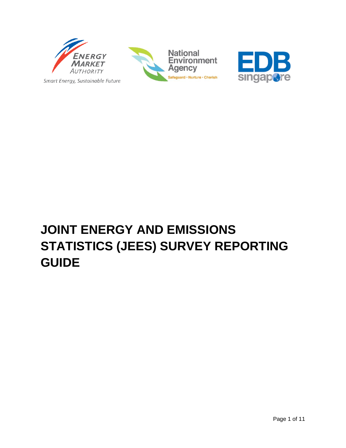

Smart Energy, Sustainable Future





# **JOINT ENERGY AND EMISSIONS STATISTICS (JEES) SURVEY REPORTING GUIDE**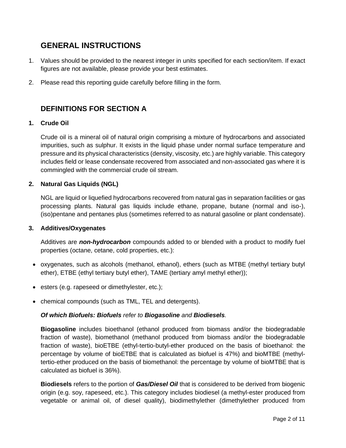# **GENERAL INSTRUCTIONS**

- 1. Values should be provided to the nearest integer in units specified for each section/item. If exact figures are not available, please provide your best estimates.
- 2. Please read this reporting guide carefully before filling in the form.

# **DEFINITIONS FOR SECTION A**

# **1. Crude Oil**

Crude oil is a mineral oil of natural origin comprising a mixture of hydrocarbons and associated impurities, such as sulphur. It exists in the liquid phase under normal surface temperature and pressure and its physical characteristics (density, viscosity, etc.) are highly variable. This category includes field or lease condensate recovered from associated and non-associated gas where it is commingled with the commercial crude oil stream.

# **2. Natural Gas Liquids (NGL)**

NGL are liquid or liquefied hydrocarbons recovered from natural gas in separation facilities or gas processing plants. Natural gas liquids include ethane, propane, butane (normal and iso-), (iso)pentane and pentanes plus (sometimes referred to as natural gasoline or plant condensate).

# **3. Additives/Oxygenates**

Additives are *non-hydrocarbon* compounds added to or blended with a product to modify fuel properties (octane, cetane, cold properties, etc.):

- oxygenates, such as alcohols (methanol, ethanol), ethers (such as MTBE (methyl tertiary butyl ether), ETBE (ethyl tertiary butyl ether), TAME (tertiary amyl methyl ether));
- esters (e.g. rapeseed or dimethylester, etc.);
- chemical compounds (such as TML, TEL and detergents).

# *Of which Biofuels: Biofuels refer to Biogasoline and Biodiesels.*

**Biogasoline** includes bioethanol (ethanol produced from biomass and/or the biodegradable fraction of waste), biomethanol (methanol produced from biomass and/or the biodegradable fraction of waste), bioETBE (ethyl-tertio-butyl-ether produced on the basis of bioethanol: the percentage by volume of bioETBE that is calculated as biofuel is 47%) and bioMTBE (methyltertio-ether produced on the basis of biomethanol: the percentage by volume of bioMTBE that is calculated as biofuel is 36%).

**Biodiesels** refers to the portion of *Gas/Diesel Oil* that is considered to be derived from biogenic origin (e.g. soy, rapeseed, etc.). This category includes biodiesel (a methyl-ester produced from vegetable or animal oil, of diesel quality), biodimethylether (dimethylether produced from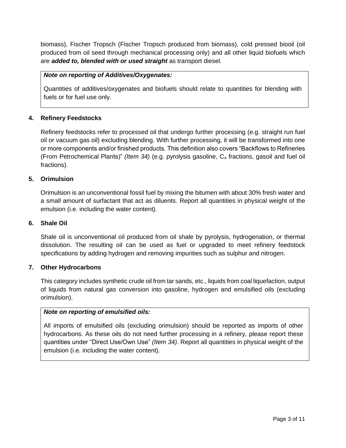biomass), Fischer Tropsch (Fischer Tropsch produced from biomass), cold pressed biooil (oil produced from oil seed through mechanical processing only) and all other liquid biofuels which are *added to, blended with or used straight* as transport diesel.

#### *Note on reporting of Additives/Oxygenates:*

Quantities of additives/oxygenates and biofuels should relate to quantities for blending with fuels or for fuel use only.

# **4. Refinery Feedstocks**

Refinery feedstocks refer to processed oil that undergo further processing (e.g. straight run fuel oil or vacuum gas oil) excluding blending. With further processing, it will be transformed into one or more components and/or finished products. This definition also covers "Backflows to Refineries (From Petrochemical Plants)" *(Item 34)* (e.g. pyrolysis gasoline, C<sup>4</sup> fractions, gasoil and fuel oil fractions).

# **5. Orimulsion**

Orimulsion is an unconventional fossil fuel by mixing the bitumen with about 30% fresh water and a small amount of surfactant that act as diluents. Report all quantities in physical weight of the emulsion (i.e. including the water content).

#### **6. Shale Oil**

Shale oil is unconventional oil produced from oil shale by pyrolysis, hydrogenation, or thermal dissolution. The resulting oil can be used as fuel or upgraded to meet refinery feedstock specifications by adding hydrogen and removing impurities such as sulphur and nitrogen.

#### **7. Other Hydrocarbons**

This category includes synthetic crude oil from tar sands, etc., liquids from coal liquefaction, output of liquids from natural gas conversion into gasoline, hydrogen and emulsified oils (excluding orimulsion).

# *Note on reporting of emulsified oils:*

All imports of emulsified oils (excluding orimulsion) should be reported as imports of other hydrocarbons. As these oils do not need further processing in a refinery, please report these quantities under "Direct Use/Own Use" *(Item 34)*. Report all quantities in physical weight of the emulsion (i.e. including the water content).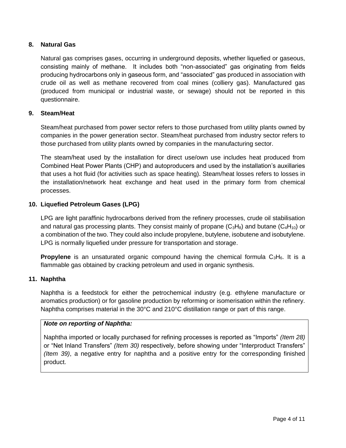# **8. Natural Gas**

Natural gas comprises gases, occurring in underground deposits, whether liquefied or gaseous, consisting mainly of methane. It includes both "non-associated" gas originating from fields producing hydrocarbons only in gaseous form, and "associated" gas produced in association with crude oil as well as methane recovered from coal mines (colliery gas). Manufactured gas (produced from municipal or industrial waste, or sewage) should not be reported in this questionnaire.

# **9. Steam/Heat**

Steam/heat purchased from power sector refers to those purchased from utility plants owned by companies in the power generation sector. Steam/heat purchased from industry sector refers to those purchased from utility plants owned by companies in the manufacturing sector.

The steam/heat used by the installation for direct use/own use includes heat produced from Combined Heat Power Plants (CHP) and autoproducers and used by the installation's auxillaries that uses a hot fluid (for activities such as space heating). Steam/heat losses refers to losses in the installation/network heat exchange and heat used in the primary form from chemical processes.

# **10. Liquefied Petroleum Gases (LPG)**

LPG are light paraffinic hydrocarbons derived from the refinery processes, crude oil stabilisation and natural gas processing plants. They consist mainly of propane ( $C_3H_8$ ) and butane ( $C_4H_{10}$ ) or a combination of the two. They could also include propylene, butylene, isobutene and isobutylene. LPG is normally liquefied under pressure for transportation and storage.

**Propylene** is an unsaturated organic compound having the chemical formula C<sub>3</sub>H<sub>6</sub>. It is a flammable gas obtained by cracking petroleum and used in organic synthesis.

# **11. Naphtha**

Naphtha is a feedstock for either the petrochemical industry (e.g. ethylene manufacture or aromatics production) or for gasoline production by reforming or isomerisation within the refinery. Naphtha comprises material in the 30°C and 210°C distillation range or part of this range.

# *Note on reporting of Naphtha:*

Naphtha imported or locally purchased for refining processes is reported as "Imports" *(Item 28)* or "Net Inland Transfers" *(Item 30)* respectively, before showing under "Interproduct Transfers" *(Item 39)*, a negative entry for naphtha and a positive entry for the corresponding finished product.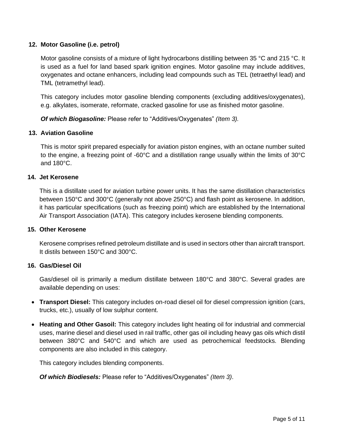#### **12. Motor Gasoline (i.e. petrol)**

Motor gasoline consists of a mixture of light hydrocarbons distilling between 35 °C and 215 °C. It is used as a fuel for land based spark ignition engines. Motor gasoline may include additives, oxygenates and octane enhancers, including lead compounds such as TEL (tetraethyl lead) and TML (tetramethyl lead).

This category includes motor gasoline blending components (excluding additives/oxygenates), e.g. alkylates, isomerate, reformate, cracked gasoline for use as finished motor gasoline.

*Of which Biogasoline:* Please refer to "Additives/Oxygenates" *(Item 3).*

#### **13. Aviation Gasoline**

This is motor spirit prepared especially for aviation piston engines, with an octane number suited to the engine, a freezing point of -60°C and a distillation range usually within the limits of 30°C and 180°C.

# **14. Jet Kerosene**

This is a distillate used for aviation turbine power units. It has the same distillation characteristics between 150°C and 300°C (generally not above 250°C) and flash point as kerosene. In addition, it has particular specifications (such as freezing point) which are established by the International Air Transport Association (IATA). This category includes kerosene blending components.

#### **15. Other Kerosene**

Kerosene comprises refined petroleum distillate and is used in sectors other than aircraft transport. It distils between 150°C and 300°C.

#### **16. Gas/Diesel Oil**

Gas/diesel oil is primarily a medium distillate between 180°C and 380°C. Several grades are available depending on uses:

- **Transport Diesel:** This category includes on-road diesel oil for diesel compression ignition (cars, trucks, etc.), usually of low sulphur content.
- **Heating and Other Gasoil:** This category includes light heating oil for industrial and commercial uses, marine diesel and diesel used in rail traffic, other gas oil including heavy gas oils which distil between 380°C and 540°C and which are used as petrochemical feedstocks. Blending components are also included in this category.

This category includes blending components.

*Of which Biodiesels:* Please refer to "Additives/Oxygenates" *(Item 3)*.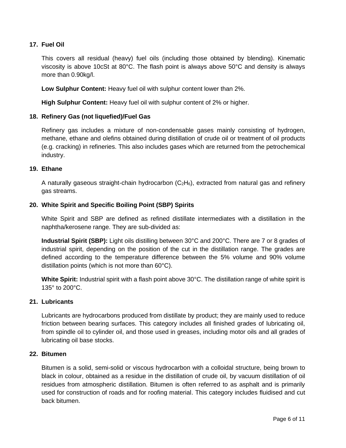# **17. Fuel Oil**

This covers all residual (heavy) fuel oils (including those obtained by blending). Kinematic viscosity is above 10cSt at 80°C. The flash point is always above 50°C and density is always more than 0.90kg/l.

**Low Sulphur Content:** Heavy fuel oil with sulphur content lower than 2%.

**High Sulphur Content:** Heavy fuel oil with sulphur content of 2% or higher.

#### **18. Refinery Gas (not liquefied)/Fuel Gas**

Refinery gas includes a mixture of non-condensable gases mainly consisting of hydrogen, methane, ethane and olefins obtained during distillation of crude oil or treatment of oil products (e.g. cracking) in refineries. This also includes gases which are returned from the petrochemical industry.

#### **19. Ethane**

A naturally gaseous straight-chain hydrocarbon  $(C_2H_6)$ , extracted from natural gas and refinery gas streams.

#### **20. White Spirit and Specific Boiling Point (SBP) Spirits**

White Spirit and SBP are defined as refined distillate intermediates with a distillation in the naphtha/kerosene range. They are sub-divided as:

**Industrial Spirit (SBP):** Light oils distilling between 30°C and 200°C. There are 7 or 8 grades of industrial spirit, depending on the position of the cut in the distillation range. The grades are defined according to the temperature difference between the 5% volume and 90% volume distillation points (which is not more than 60°C).

**White Spirit:** Industrial spirit with a flash point above 30°C. The distillation range of white spirit is 135° to 200°C.

# **21. Lubricants**

Lubricants are hydrocarbons produced from distillate by product; they are mainly used to reduce friction between bearing surfaces. This category includes all finished grades of lubricating oil, from spindle oil to cylinder oil, and those used in greases, including motor oils and all grades of lubricating oil base stocks.

# **22. Bitumen**

Bitumen is a solid, semi-solid or viscous hydrocarbon with a colloidal structure, being brown to black in colour, obtained as a residue in the distillation of crude oil, by vacuum distillation of oil residues from atmospheric distillation. Bitumen is often referred to as asphalt and is primarily used for construction of roads and for roofing material. This category includes fluidised and cut back bitumen.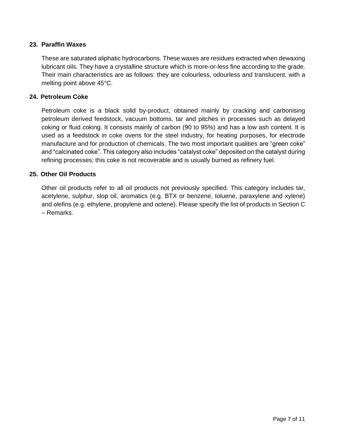# **23. Paraffin Waxes**

These are saturated aliphatic hydrocarbons. These waxes are residues extracted when dewaxing lubricant oils. They have a crystalline structure which is more-or-less fine according to the grade. Their main characteristics are as follows: they are colourless, odourless and translucent, with a melting point above 45°C.

#### **24. Petroleum Coke**

Petroleum coke is a black solid by-product, obtained mainly by cracking and carbonising petroleum derived feedstock, vacuum bottoms, tar and pitches in processes such as delayed coking or fluid coking. It consists mainly of carbon (90 to 95%) and has a low ash content. It is used as a feedstock in coke ovens for the steel industry, for heating purposes, for electrode manufacture and for production of chemicals. The two most important qualities are "green coke" and "calcinated coke". This category also includes "catalyst coke" deposited on the catalyst during refining processes; this coke is not recoverable and is usually burned as refinery fuel.

#### **25. Other Oil Products**

Other oil products refer to all oil products not previously specified. This category includes tar, acetylene, sulphur, slop oil, aromatics (e.g. BTX or benzene, toluene, paraxylene and xylene) and olefins (e.g. ethylene, propylene and octene). Please specify the list of products in Section C – Remarks.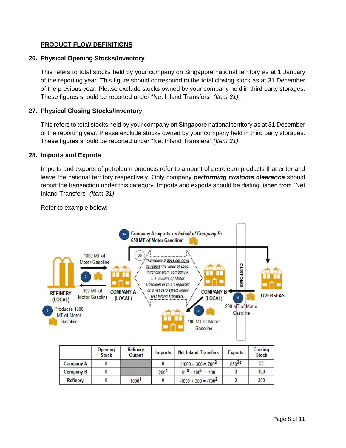# **PRODUCT FLOW DEFINITIONS**

#### **26. Physical Opening Stocks/Inventory**

This refers to total stocks held by your company on Singapore national territory as at 1 January of the reporting year. This figure should correspond to the total closing stock as at 31 December of the previous year. Please exclude stocks owned by your company held in third party storages. These figures should be reported under "Net Inland Transfers" *(Item 31).*

#### **27. Physical Closing Stocks/Inventory**

This refers to total stocks held by your company on Singapore national territory as at 31 December of the reporting year. Please exclude stocks owned by your company held in third party storages. These figures should be reported under "Net Inland Transfers" *(Item 31).*

#### **28. Imports and Exports**

Imports and exports of petroleum products refer to amount of petroleum products that enter and leave the national territory respectively. Only company *performing customs clearance* should report the transaction under this category. Imports and exports should be distinguished from "Net Inland Transfers" *(Item 31)*.

Refer to example below:



 $\mathbf 0$ 

 $1000<sup>1</sup>$ 

 $-1000 + 300 = -700^2$ 

 $\bf{0}$ 

Refinery

 $\mathbf{0}$ 

300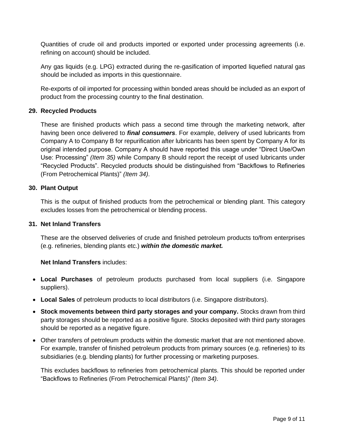Quantities of crude oil and products imported or exported under processing agreements (i.e. refining on account) should be included.

Any gas liquids (e.g. LPG) extracted during the re-gasification of imported liquefied natural gas should be included as imports in this questionnaire.

Re-exports of oil imported for processing within bonded areas should be included as an export of product from the processing country to the final destination.

# **29. Recycled Products**

These are finished products which pass a second time through the marketing network, after having been once delivered to *final consumers*. For example, delivery of used lubricants from Company A to Company B for repurification after lubricants has been spent by Company A for its original intended purpose. Company A should have reported this usage under "Direct Use/Own Use: Processing" *(Item 35)* while Company B should report the receipt of used lubricants under "Recycled Products". Recycled products should be distinguished from "Backflows to Refineries (From Petrochemical Plants)" *(Item 34)*.

#### **30. Plant Output**

This is the output of finished products from the petrochemical or blending plant. This category excludes losses from the petrochemical or blending process.

#### **31. Net Inland Transfers**

These are the observed deliveries of crude and finished petroleum products to/from enterprises (e.g. refineries, blending plants etc.) *within the domestic market.*

#### **Net Inland Transfers** includes:

- **Local Purchases** of petroleum products purchased from local suppliers (i.e. Singapore suppliers).
- **Local Sales** of petroleum products to local distributors (i.e. Singapore distributors).
- **Stock movements between third party storages and your company.** Stocks drawn from third party storages should be reported as a positive figure. Stocks deposited with third party storages should be reported as a negative figure.
- Other transfers of petroleum products within the domestic market that are not mentioned above. For example, transfer of finished petroleum products from primary sources (e.g. refineries) to its subsidiaries (e.g. blending plants) for further processing or marketing purposes.

This excludes backflows to refineries from petrochemical plants. This should be reported under "Backflows to Refineries (From Petrochemical Plants)" *(Item 34)*.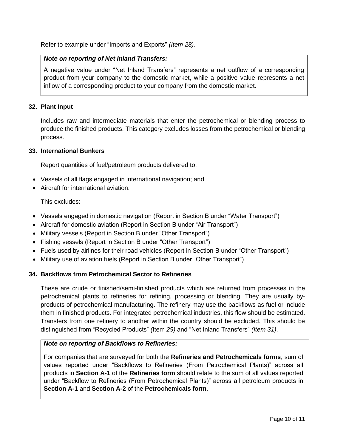Refer to example under "Imports and Exports" *(Item 28).*

#### *Note on reporting of Net Inland Transfers:*

A negative value under "Net Inland Transfers" represents a net outflow of a corresponding product from your company to the domestic market, while a positive value represents a net inflow of a corresponding product to your company from the domestic market.

#### **32. Plant Input**

Includes raw and intermediate materials that enter the petrochemical or blending process to produce the finished products. This category excludes losses from the petrochemical or blending process.

#### **33. International Bunkers**

Report quantities of fuel/petroleum products delivered to:

- Vessels of all flags engaged in international navigation; and
- Aircraft for international aviation.

This excludes:

- Vessels engaged in domestic navigation (Report in Section B under "Water Transport")
- Aircraft for domestic aviation (Report in Section B under "Air Transport")
- Military vessels (Report in Section B under "Other Transport")
- Fishing vessels (Report in Section B under "Other Transport")
- Fuels used by airlines for their road vehicles (Report in Section B under "Other Transport")
- Military use of aviation fuels (Report in Section B under "Other Transport")

# **34. Backflows from Petrochemical Sector to Refineries**

These are crude or finished/semi-finished products which are returned from processes in the petrochemical plants to refineries for refining, processing or blending. They are usually byproducts of petrochemical manufacturing. The refinery may use the backflows as fuel or include them in finished products. For integrated petrochemical industries, this flow should be estimated. Transfers from one refinery to another within the country should be excluded. This should be distinguished from "Recycled Products" *(*Item *29)* and "Net Inland Transfers" *(Item 31)*.

#### *Note on reporting of Backflows to Refineries:*

For companies that are surveyed for both the **Refineries and Petrochemicals forms**, sum of values reported under "Backflows to Refineries (From Petrochemical Plants)" across all products in **Section A-1** of the **Refineries form** should relate to the sum of all values reported under "Backflow to Refineries (From Petrochemical Plants)" across all petroleum products in **Section A-1** and **Section A-2** of the **Petrochemicals form**.